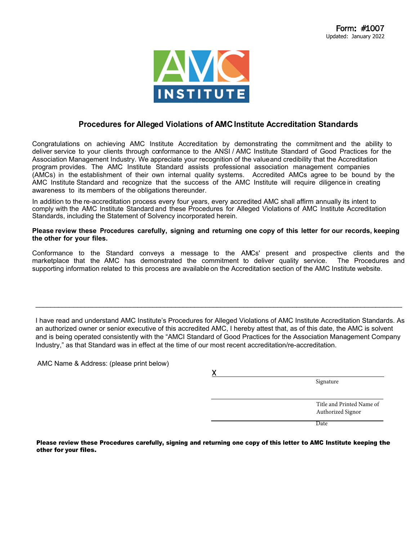

#### **Procedures for Alleged Violations of AMC Institute Accreditation Standards**

Congratulations on achieving AMC Institute Accreditation by demonstrating the commitment and the ability to deliver service to your clients through conformance to the ANSI / AMC Institute Standard of Good Practices for the Association Management Industry. We appreciate your recognition of the valueand credibility that the Accreditation program provides. The AMC Institute Standard assists professional association management companies (AMCs) in the establishment of their own internal quality systems. Accredited AMCs agree to be bound by the AMC Institute Standard and recognize that the success of the AMC Institute will require diligence in creating awareness to its members of the obligations thereunder.

In addition to the re-accreditation process every four years, every accredited AMC shall affirm annually its intent to comply with the AMC Institute Standard and these Procedures for Alleged Violations of AMC Institute Accreditation Standards, including the Statement of Solvency incorporated herein.

**Please review these Procedures carefully, signing and returning one copy of this letter for our records, keeping the other for your files.**

Conformance to the Standard conveys a message to the AMCs' present and prospective clients and the marketplace that the AMC has demonstrated the commitment to deliver quality service. The Procedures and supporting information related to this process are available on the Accreditation section of the AMC Institute website.

I have read and understand AMC Institute's Procedures for Alleged Violations of AMC Institute Accreditation Standards. As an authorized owner or senior executive of this accredited AMC, I hereby attest that, as of this date, the AMC is solvent and is being operated consistently with the "AMCI Standard of Good Practices for the Association Management Company Industry," as that Standard was in effect at the time of our most recent accreditation/re-accreditation.

\_\_\_\_\_\_\_\_\_\_\_\_\_\_\_\_\_\_\_\_\_\_\_\_\_\_\_\_\_\_\_\_\_\_\_\_\_\_\_\_\_\_\_\_\_\_\_\_\_\_\_\_\_\_\_\_\_\_\_\_\_\_\_\_\_\_\_\_\_\_\_\_\_\_\_\_\_\_\_\_\_\_\_\_\_\_\_\_\_\_\_\_\_\_\_\_\_

AMC Name & Address: (please print below)

| Signature |
|-----------|
|           |

Title and Printed Name of Authorized Signor

Date

Please review these Procedures carefully, signing and returning one copy of this letter to AMC Institute keeping the other for your files.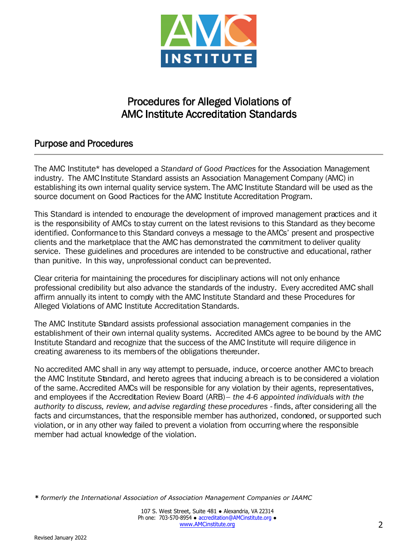

# Procedures for Alleged Violations of AMC Institute Accreditation Standards

## Purpose and Procedures

The AMC Institute\* has developed a *Standard of Good Practices* for the Association Management industry. The AMC Institute Standard assists an Association Management Company (AMC) in establishing its own internal quality service system. The AMC Institute Standard will be used as the source document on Good Practices for the AMC Institute Accreditation Program.

This Standard is intended to encourage the development of improved management practices and it is the responsibility of AMCs to stay current on the latest revisions to this Standard as they become identified. Conformance to this Standard conveys a message to the AMCs' present and prospective clients and the marketplace that the AMC has demonstrated the commitment to deliver quality service. These guidelines and procedures are intended to be constructive and educational, rather than punitive. In this way, unprofessional conduct can be prevented.

Clear criteria for maintaining the procedures for disciplinary actions will not only enhance professional credibility but also advance the standards of the industry. Every accredited AMC shall affirm annually its intent to comply with the AMC Institute Standard and these Procedures for Alleged Violations of AMC Institute Accreditation Standards.

The AMC Institute Standard assists professional association management companies in the establishment of their own internal quality systems. Accredited AMCs agree to be bound by the AMC Institute Standard and recognize that the success of the AMC Institute will require diligence in creating awareness to its members of the obligations thereunder.

No accredited AMC shall in any way attempt to persuade, induce, or coerce another AMC to breach the AMC Institute Standard, and hereto agrees that inducing a breach is to be considered a violation of the same. Accredited AMCs will be responsible for any violation by their agents, representatives, and employees if the Accreditation Review Board (ARB) – *the 4-6 appointed individuals with the*  authority to discuss, review, and advise regarding these procedures - finds, after considering all the facts and circumstances, that the responsible member has authorized, condoned, or supported such violation, or in any other way failed to prevent a violation from occurring where the responsible member had actual knowledge of the violation.

*\* formerly the International Association of Association Management Companies or IAAMC*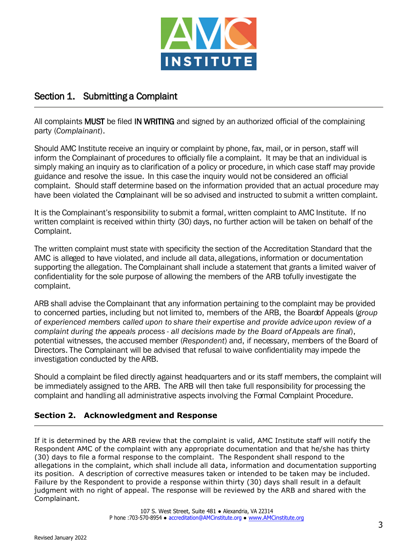

## Section 1. Submitting a Complaint

All complaints MUST be filed IN WRITING and signed by an authorized official of the complaining party (*Complainant*).

Should AMC Institute receive an inquiry or complaint by phone, fax, mail, or in person, staff will inform the Complainant of procedures to officially file a complaint. It may be that an individual is simply making an inquiry as to clarification of a policy or procedure, in which case staff may provide guidance and resolve the issue. In this case the inquiry would not be considered an official complaint. Should staff determine based on the information provided that an actual procedure may have been violated the Complainant will be so advised and instructed to submit a written complaint.

It is the Complainant's responsibility to submit a formal, written complaint to AMC Institute. If no written complaint is received within thirty (30) days, no further action will be taken on behalf of the Complaint.

The written complaint must state with specificity the section of the Accreditation Standard that the AMC is alleged to have violated, and include all data, allegations, information or documentation supporting the allegation. The Complainant shall include a statement that grants a limited waiver of confidentiality for the sole purpose of allowing the members of the ARB to fully investigate the complaint.

ARB shall advise the Complainant that any information pertaining to the complaint may be provided to concerned parties, including but not limited to, members of the ARB, the Board of Appeals (*group of experienced members called upon to share their expertise and provide advice upon review of a complaint during the appeals process - all decisions made by the Board of Appeals are final*), potential witnesses, the accused member (*Respondent*) and, if necessary, members of the Board of Directors. The Complainant will be advised that refusal to waive confidentiality may impede the investigation conducted by the ARB.

Should a complaint be filed directly against headquarters and or its staff members, the complaint will be immediately assigned to the ARB. The ARB will then take full responsibility for processing the complaint and handling all administrative aspects involving the Formal Complaint Procedure.

#### **Section 2. Acknowledgment and Response**

If it is determined by the ARB review that the complaint is valid, AMC Institute staff will notify the Respondent AMC of the complaint with any appropriate documentation and that he/she has thirty (30) days to file a formal response to the complaint. The Respondent shall respond to the allegations in the complaint, which shall include all data, information and documentation supporting its position. A description of corrective measures taken or intended to be taken may be included. Failure by the Respondent to provide a response within thirty (30) days shall result in a default judgment with no right of appeal. The response will be reviewed by the ARB and shared with the Complainant.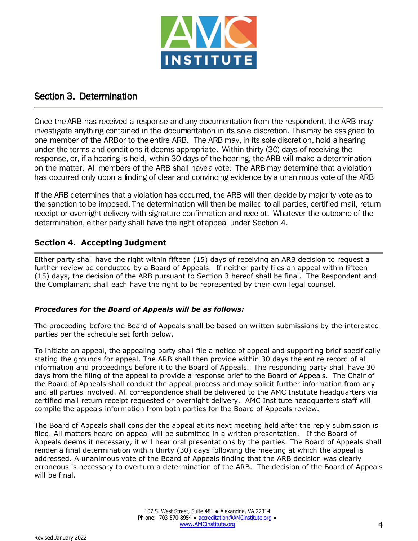

#### Section 3. Determination

Once the ARB has received a response and any documentation from the respondent, the ARB may investigate anything contained in the documentation in its sole discretion. This may be assigned to one member of the ARB or to the entire ARB. The ARB may, in its sole discretion, hold a hearing under the terms and conditions it deems appropriate. Within thirty (30) days of receiving the response, or, if a hearing is held, within 30 days of the hearing, the ARB will make a determination on the matter. All members of the ARB shall have a vote. The ARB may determine that a violation has occurred only upon a finding of clear and convincing evidence by a unanimous vote of the ARB

If the ARB determines that a violation has occurred, the ARB will then decide by majority vote as to the sanction to be imposed. The determination will then be mailed to all parties, certified mail, return receipt or overnight delivery with signature confirmation and receipt. Whatever the outcome of the determination, either party shall have the right of appeal under Section 4.

#### **Section 4. Accepting Judgment**

Either party shall have the right within fifteen (15) days of receiving an ARB decision to request a further review be conducted by a Board of Appeals. If neither party files an appeal within fifteen (15) days, the decision of the ARB pursuant to Section 3 hereof shall be final. The Respondent and the Complainant shall each have the right to be represented by their own legal counsel.

#### *Procedures for the Board of Appeals will be as follows:*

The proceeding before the Board of Appeals shall be based on written submissions by the interested parties per the schedule set forth below.

To initiate an appeal, the appealing party shall file a notice of appeal and supporting brief specifically stating the grounds for appeal. The ARB shall then provide within 30 days the entire record of all information and proceedings before it to the Board of Appeals. The responding party shall have 30 days from the filing of the appeal to provide a response brief to the Board of Appeals. The Chair of the Board of Appeals shall conduct the appeal process and may solicit further information from any and all parties involved. All correspondence shall be delivered to the AMC Institute headquarters via certified mail return receipt requested or overnight delivery. AMC Institute headquarters staff will compile the appeals information from both parties for the Board of Appeals review.

The Board of Appeals shall consider the appeal at its next meeting held after the reply submission is filed. All matters heard on appeal will be submitted in a written presentation. If the Board of Appeals deems it necessary, it will hear oral presentations by the parties. The Board of Appeals shall render a final determination within thirty (30) days following the meeting at which the appeal is addressed. A unanimous vote of the Board of Appeals finding that the ARB decision was clearly erroneous is necessary to overturn a determination of the ARB. The decision of the Board of Appeals will be final.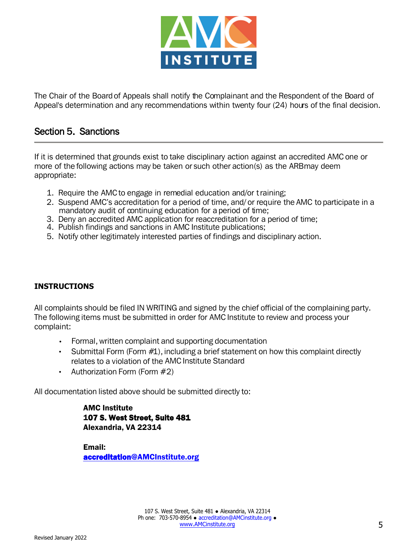

The Chair of the Board of Appeals shall notify the Complainant and the Respondent of the Board of Appeal's determination and any recommendations within twenty four (24) hours of the final decision.

#### Section 5. Sanctions

If it is determined that grounds exist to take disciplinary action against an accredited AMC one or more of the following actions may be taken or such other action(s) as the ARB may deem appropriate:

- 1. Require the AMC to engage in remedial education and/or training;
- 2. Suspend AMC's accreditation for a period of time, and/ or require the AMC to participate in a mandatory audit of continuing education for a period of time;
- 3. Deny an accredited AMC application for reaccreditation for a period of time;
- 4. Publish findings and sanctions in AMC Institute publications;
- 5. Notify other legitimately interested parties of findings and disciplinary action.

#### **INSTRUCTIONS**

All complaints should be filed IN WRITING and signed by the chief official of the complaining party. The following items must be submitted in order for AMC Institute to review and process your complaint:

- Formal, written complaint and supporting documentation
- Submittal Form (Form  $#1$ ), including a brief statement on how this complaint directly relates to a violation of the AMC Institute Standard
- Authorization Form (Form #2)

All documentation listed above should be submitted directly to:

AMC Institute 107 S. West Street, Suite 481 Alexandria, VA 22314

Email: accreditation@AMCInstitute.org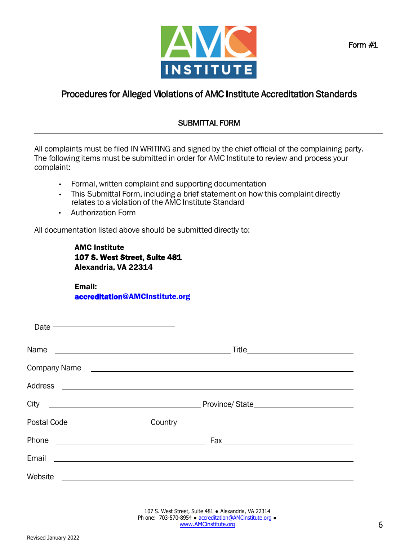

## Procedures for Alleged Violations of AMC Institute Accreditation Standards

#### SUBMITTAL FORM

All complaints must be filed IN WRITING and signed by the chief official of the complaining party. The following items must be submitted in order for AMC Institute to review and process your complaint:

- Formal, written complaint and supporting documentation
- This Submittal Form, including a brief statement on how this complaint directly relates to a violation of the AMC Institute Standard
- Authorization Form

All documentation listed above should be submitted directly to:

AMC Institute 107 S. West Street, Suite 481 Alexandria, VA 22314

Email: accreditation@AMCInstitute.org

| Date $\overline{\phantom{iiiiiiiiiiiiiiiiiiiiiiiiiiiiiiiiiiiiii}}$                                                             |                                    |
|--------------------------------------------------------------------------------------------------------------------------------|------------------------------------|
|                                                                                                                                | Title_____________________________ |
| Company Name <b>company</b> Name                                                                                               |                                    |
|                                                                                                                                |                                    |
|                                                                                                                                |                                    |
| Postal Code ___________________                                                                                                |                                    |
| Phone<br><u> 1980 - Johann Barn, fransk politik fotograf (d. 1980)</u>                                                         |                                    |
| Email<br><u> 1989 - Johann Stein, mars and de Branch and de Branch and de Branch and de Branch and de Branch and de Branch</u> |                                    |
| Website <u>__________________________________</u>                                                                              |                                    |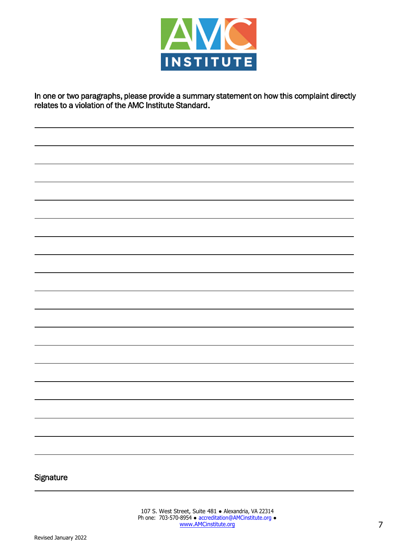

In one or two paragraphs, please provide a summary statement on how this complaint directly relates to a violation of the AMC Institute Standard.

#### **Signature**